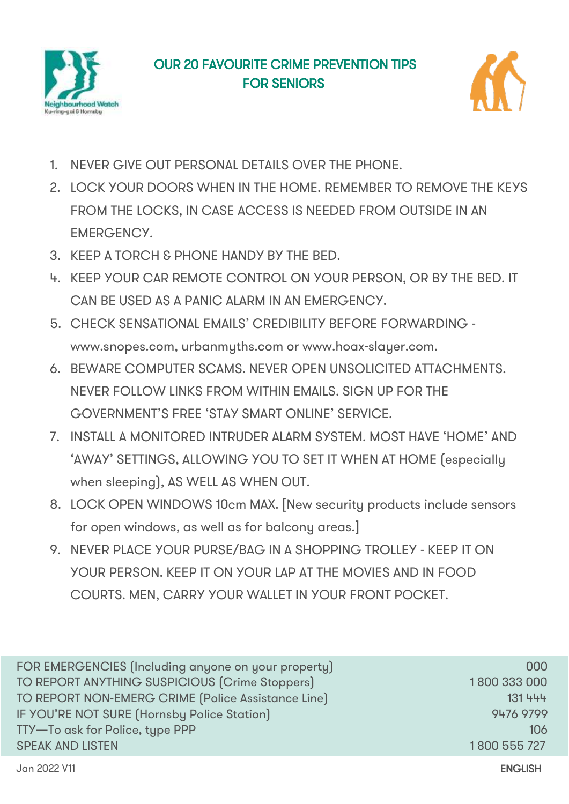



- 1. NEVER GIVE OUT PERSONAL DETAILS OVER THE PHONE.
- 2. LOCK YOUR DOORS WHEN IN THE HOME. REMEMBER TO REMOVE THE KEYS FROM THE LOCKS, IN CASE ACCESS IS NEEDED FROM OUTSIDE IN AN EMERGENCY.
- 3. KEEP A TORCH & PHONE HANDY BY THE BED.
- 4. KEEP YOUR CAR REMOTE CONTROL ON YOUR PERSON, OR BY THE BED. IT CAN BE USED AS A PANIC ALARM IN AN EMERGENCY.
- 5. CHECK SENSATIONAL EMAILS' CREDIBILITY BEFORE FORWARDING www.snopes.com, urbanmyths.com or www.hoax-slayer.com.
- 6. BEWARE COMPUTER SCAMS. NEVER OPEN UNSOLICITED ATTACHMENTS. NEVER FOLLOW LINKS FROM WITHIN EMAILS. SIGN UP FOR THE GOVERNMENT'S FREE 'STAY SMART ONLINE' SERVICE.
- 7. INSTALL A MONITORED INTRUDER ALARM SYSTEM. MOST HAVE 'HOME' AND 'AWAY' SETTINGS, ALLOWING YOU TO SET IT WHEN AT HOME (especially when sleeping), AS WELL AS WHEN OUT.
- 8. LOCK OPEN WINDOWS 10cm MAX. [New security products include sensors for open windows, as well as for balcony areas.]
- 9. NEVER PLACE YOUR PURSE/BAG IN A SHOPPING TROLLEY KEEP IT ON YOUR PERSON. KEEP IT ON YOUR LAP AT THE MOVIES AND IN FOOD COURTS. MEN, CARRY YOUR WALLET IN YOUR FRONT POCKET.

| FOR EMERGENCIES (Including anyone on your property) | 000          |
|-----------------------------------------------------|--------------|
| TO REPORT ANYTHING SUSPICIOUS (Crime Stoppers)      | 1800 333 000 |
| TO REPORT NON-EMERG CRIME [Police Assistance Line]  | 131 444      |
| IF YOU'RE NOT SURE (Hornsby Police Station)         | 9476 9799    |
| TTY-To ask for Police, type PPP                     | 106          |
| <b>SPEAK AND LISTEN</b>                             | 1800 555 727 |
|                                                     |              |